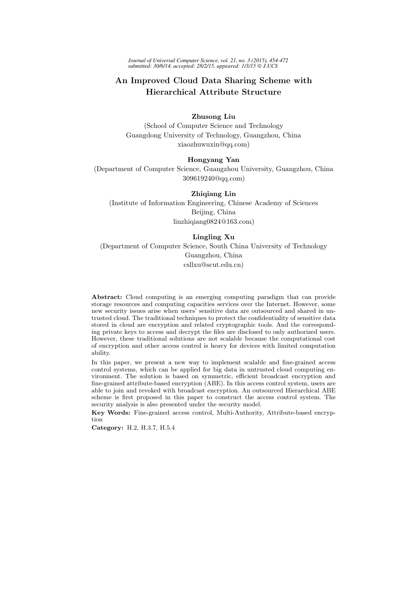*Journal of Universal Computer Science, vol. 21, no. 3 (2015), 454-472 submitted: 30/6/14, accepted: 28/2/15, appeared: 1/3/15 J.UCS*

# An Improved Cloud Data Sharing Scheme with Hierarchical Attribute Structure

# Zhusong Liu

(School of Computer Science and Technology Guangdong University of Technology, Guangzhou, China xiaozhuwuxin@qq.com)

# Hongyang Yan

(Department of Computer Science, Guangzhou University, Guangzhou, China 309619240@qq.com)

### Zhiqiang Lin

(Institute of Information Engineering, Chinese Academy of Sciences Beijing, China linzhiqiang0824@163.com)

# Lingling Xu

(Department of Computer Science, South China University of Technology Guangzhou, China csllxu@scut.edu.cn)

Abstract: Cloud computing is an emerging computing paradigm that can provide storage resources and computing capacities services over the Internet. However, some new security issues arise when users' sensitive data are outsourced and shared in untrusted cloud. The traditional techniques to protect the confidentiality of sensitive data stored in cloud are encryption and related cryptographic tools. And the corresponding private keys to access and decrypt the files are disclosed to only authorized users. However, these traditional solutions are not scalable because the computational cost of encryption and other access control is heavy for devices with limited computation ability.

In this paper, we present a new way to implement scalable and fine-grained access control systems, which can be applied for big data in untrusted cloud computing environment. The solution is based on symmetric, efficient broadcast encryption and fine-grained attribute-based encryption (ABE). In this access control system, users are able to join and revoked with broadcast encryption. An outsourced Hierarchical ABE scheme is first proposed in this paper to construct the access control system. The security analysis is also presented under the security model.

Key Words: Fine-grained access control, Multi-Authority, Attribute-based encryption

Category: H.2, H.3.7, H.5.4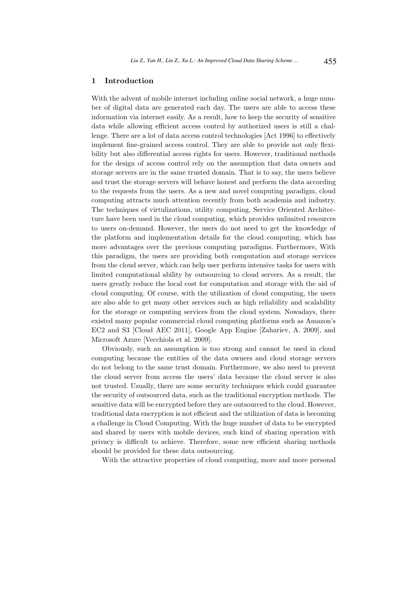# 1 Introduction

With the advent of mobile internet including online social network, a huge number of digital data are generated each day. The users are able to access these information via internet easily. As a result, how to keep the security of sensitive data while allowing efficient access control by authorized users is still a challenge. There are a lot of data access control technologies [Act 1996] to effectively implement fine-grained access control. They are able to provide not only flexibility but also differential access rights for users. However, traditional methods for the design of access control rely on the assumption that data owners and storage servers are in the same trusted domain. That is to say, the users believe and trust the storage servers will behave honest and perform the data according to the requests from the users. As a new and novel computing paradigm, cloud computing attracts much attention recently from both academia and industry. The techniques of virtulizations, utility computing, Service Oriented Architecture have been used in the cloud computing, which provides unlimited resources to users on-demand. However, the users do not need to get the knowledge of the platform and implementation details for the cloud computing, which has more advantages over the previous computing paradigms. Furthermore, With this paradigm, the users are providing both computation and storage services from the cloud server, which can help user perform intensive tasks for users with limited computational ability by outsourcing to cloud servers. As a result, the users greatly reduce the local cost for computation and storage with the aid of cloud computing. Of course, with the utilization of cloud computing, the users are also able to get many other services such as high reliability and scalability for the storage or computing services from the cloud system. Nowadays, there existed many popular commercial cloud computing platforms such as Amazon's EC2 and S3 [Cloud AEC 2011], Google App Engine [Zahariev, A. 2009], and Microsoft Azure [Vecchiola et al. 2009].

Obviously, such an assumption is too strong and cannot be used in cloud computing because the entities of the data owners and cloud storage servers do not belong to the same trust domain. Furthermore, we also need to prevent the cloud server from access the users' data because the cloud server is also not trusted. Usually, there are some security techniques which could guarantee the security of outsourced data, such as the traditional encryption methods. The sensitive data will be encrypted before they are outsourced to the cloud. However, traditional data encryption is not efficient and the utilization of data is becoming a challenge in Cloud Computing. With the huge number of data to be encrypted and shared by users with mobile devices, such kind of sharing operation with privacy is difficult to achieve. Therefore, some new efficient sharing methods should be provided for these data outsourcing.

With the attractive properties of cloud computing, more and more personal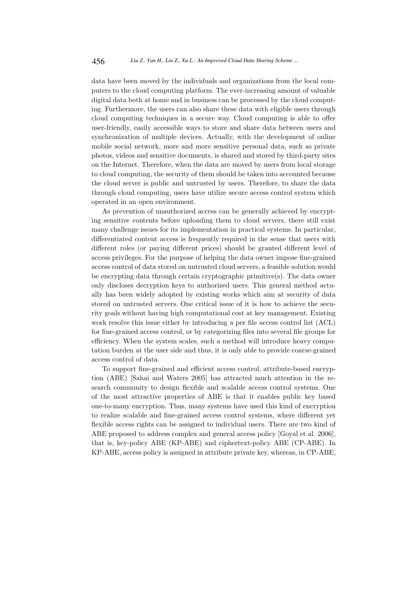data have been moved by the individuals and organizations from the local computers to the cloud computing platform. The ever-increasing amount of valuable digital data both at home and in business can be processed by the cloud computing. Furthermore, the users can also share these data with eligible users through cloud computing techniques in a secure way. Cloud computing is able to offer user-friendly, easily accessible ways to store and share data between users and synchronization of multiple devices. Actually, with the development of online mobile social network, more and more sensitive personal data, such as private photos, videos and sensitive documents, is shared and stored by third-party sites on the Internet. Therefore, when the data are moved by users from local storage to cloud computing, the security of them should be taken into accounted because the cloud server is public and untrusted by users. Therefore, to share the data through cloud computing, users have utilize secure access control system which operated in an open environment.

As prevention of unauthorized access can be generally achieved by encrypting sensitive contents before uploading them to cloud servers, there still exist many challenge issues for its implementation in practical systems. In particular, differentiated content access is frequently required in the sense that users with different roles (or paying different prices) should be granted different level of access privileges. For the purpose of helping the data owner impose fine-grained access control of data stored on untrusted cloud servers, a feasible solution would be encrypting data through certain cryptographic primitive(s). The data owner only discloses decryption keys to authorized users. This general method actually has been widely adopted by existing works which aim at security of data stored on untrusted servers. One critical issue of it is how to achieve the security goals without having high computational cost at key management. Existing work resolve this issue either by introducing a per file access control list (ACL) for fine-grained access control, or by categorizing files into several file groups for efficiency. When the system scales, such a method will introduce heavy computation burden at the user side and thus, it is only able to provide coarse-grained access control of data.

To support fine-grained and efficient access control, attribute-based encryption (ABE) [Sahai and Waters 2005] has attracted much attention in the research community to design flexible and scalable access control systems. One of the most attractive properties of ABE is that it enables public key based one-to-many encryption. Thus, many systems have used this kind of encryption to realize scalable and fine-grained access control systems, where different yet flexible access rights can be assigned to individual users. There are two kind of ABE proposed to address complex and general access policy [Goyal et al. 2006], that is, key-policy ABE (KP-ABE) and ciphertext-policy ABE (CP-ABE). In KP-ABE, access policy is assigned in attribute private key, whereas, in CP-ABE,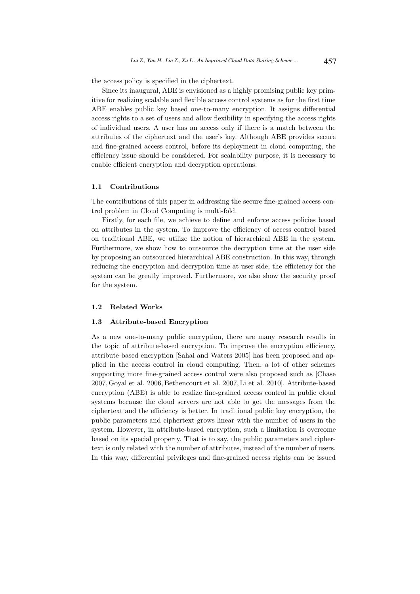the access policy is specified in the ciphertext.

Since its inaugural, ABE is envisioned as a highly promising public key primitive for realizing scalable and flexible access control systems as for the first time ABE enables public key based one-to-many encryption. It assigns differential access rights to a set of users and allow flexibility in specifying the access rights of individual users. A user has an access only if there is a match between the attributes of the ciphertext and the user's key. Although ABE provides secure and fine-grained access control, before its deployment in cloud computing, the efficiency issue should be considered. For scalability purpose, it is necessary to enable efficient encryption and decryption operations.

### 1.1 Contributions

The contributions of this paper in addressing the secure fine-grained access control problem in Cloud Computing is multi-fold.

Firstly, for each file, we achieve to define and enforce access policies based on attributes in the system. To improve the efficiency of access control based on traditional ABE, we utilize the notion of hierarchical ABE in the system. Furthermore, we show how to outsource the decryption time at the user side by proposing an outsourced hierarchical ABE construction. In this way, through reducing the encryption and decryption time at user side, the efficiency for the system can be greatly improved. Furthermore, we also show the security proof for the system.

# 1.2 Related Works

### 1.3 Attribute-based Encryption

As a new one-to-many public encryption, there are many research results in the topic of attribute-based encryption. To improve the encryption efficiency, attribute based encryption [Sahai and Waters 2005] has been proposed and applied in the access control in cloud computing. Then, a lot of other schemes supporting more fine-grained access control were also proposed such as [Chase 2007, Goyal et al. 2006, Bethencourt et al. 2007, Li et al. 2010]. Attribute-based encryption (ABE) is able to realize fine-grained access control in public cloud systems because the cloud servers are not able to get the messages from the ciphertext and the efficiency is better. In traditional public key encryption, the public parameters and ciphertext grows linear with the number of users in the system. However, in attribute-based encryption, such a limitation is overcome based on its special property. That is to say, the public parameters and ciphertext is only related with the number of attributes, instead of the number of users. In this way, differential privileges and fine-grained access rights can be issued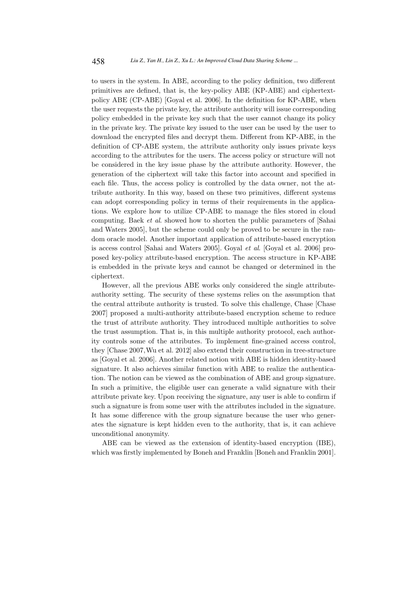to users in the system. In ABE, according to the policy definition, two different primitives are defined, that is, the key-policy ABE (KP-ABE) and ciphertextpolicy ABE (CP-ABE) [Goyal et al. 2006]. In the definition for KP-ABE, when the user requests the private key, the attribute authority will issue corresponding policy embedded in the private key such that the user cannot change its policy in the private key. The private key issued to the user can be used by the user to download the encrypted files and decrypt them. Different from KP-ABE, in the definition of CP-ABE system, the attribute authority only issues private keys according to the attributes for the users. The access policy or structure will not be considered in the key issue phase by the attribute authority. However, the generation of the ciphertext will take this factor into account and specified in each file. Thus, the access policy is controlled by the data owner, not the attribute authority. In this way, based on these two primitives, different systems can adopt corresponding policy in terms of their requirements in the applications. We explore how to utilize CP-ABE to manage the files stored in cloud computing. Baek et al. showed how to shorten the public parameters of [Sahai and Waters 2005], but the scheme could only be proved to be secure in the random oracle model. Another important application of attribute-based encryption is access control [Sahai and Waters 2005]. Goyal et al. [Goyal et al. 2006] proposed key-policy attribute-based encryption. The access structure in KP-ABE is embedded in the private keys and cannot be changed or determined in the ciphertext.

However, all the previous ABE works only considered the single attributeauthority setting. The security of these systems relies on the assumption that the central attribute authority is trusted. To solve this challenge, Chase [Chase 2007] proposed a multi-authority attribute-based encryption scheme to reduce the trust of attribute authority. They introduced multiple authorities to solve the trust assumption. That is, in this multiple authority protocol, each authority controls some of the attributes. To implement fine-grained access control, they [Chase 2007,Wu et al. 2012] also extend their construction in tree-structure as [Goyal et al. 2006]. Another related notion with ABE is hidden identity-based signature. It also achieves similar function with ABE to realize the authentication. The notion can be viewed as the combination of ABE and group signature. In such a primitive, the eligible user can generate a valid signature with their attribute private key. Upon receiving the signature, any user is able to confirm if such a signature is from some user with the attributes included in the signature. It has some difference with the group signature because the user who generates the signature is kept hidden even to the authority, that is, it can achieve unconditional anonymity.

ABE can be viewed as the extension of identity-based encryption (IBE), which was firstly implemented by Boneh and Franklin [Boneh and Franklin 2001].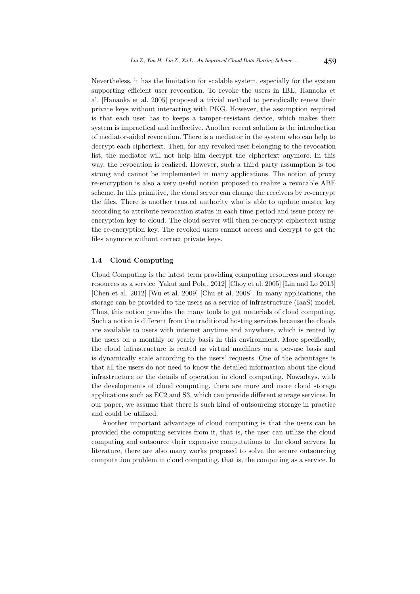Nevertheless, it has the limitation for scalable system, especially for the system supporting efficient user revocation. To revoke the users in IBE, Hanaoka et al. [Hanaoka et al. 2005] proposed a trivial method to periodically renew their private keys without interacting with PKG. However, the assumption required is that each user has to keeps a tamper-resistant device, which makes their system is impractical and ineffective. Another recent solution is the introduction of mediator-aided revocation. There is a mediator in the system who can help to decrypt each ciphertext. Then, for any revoked user belonging to the revocation list, the mediator will not help him decrypt the ciphertext anymore. In this way, the revocation is realized. However, such a third party assumption is too strong and cannot be implemented in many applications. The notion of proxy re-encryption is also a very useful notion proposed to realize a revocable ABE scheme. In this primitive, the cloud server can change the receivers by re-encrypt the files. There is another trusted authority who is able to update master key according to attribute revocation status in each time period and issue proxy reencryption key to cloud. The cloud server will then re-encrypt ciphertext using the re-encryption key. The revoked users cannot access and decrypt to get the files anymore without correct private keys.

### 1.4 Cloud Computing

Cloud Computing is the latest term providing computing resources and storage resources as a service [Yakut and Polat 2012] [Choy et al. 2005] [Lin and Lo 2013] [Chen et al. 2012] [Wu et al. 2009] [Chu et al. 2008]. In many applications, the storage can be provided to the users as a service of infrastructure (IaaS) model. Thus, this notion provides the many tools to get materials of cloud computing. Such a notion is different from the traditional hosting services because the clouds are available to users with internet anytime and anywhere, which is rented by the users on a monthly or yearly basis in this environment. More specifically, the cloud infrastructure is rented as virtual machines on a per-use basis and is dynamically scale according to the users' requests. One of the advantages is that all the users do not need to know the detailed information about the cloud infrastructure or the details of operation in cloud computing. Nowadays, with the developments of cloud computing, there are more and more cloud storage applications such as EC2 and S3, which can provide different storage services. In our paper, we assume that there is such kind of outsourcing storage in practice and could be utilized.

Another important advantage of cloud computing is that the users can be provided the computing services from it, that is, the user can utilize the cloud computing and outsource their expensive computations to the cloud servers. In literature, there are also many works proposed to solve the secure outsourcing computation problem in cloud computing, that is, the computing as a service. In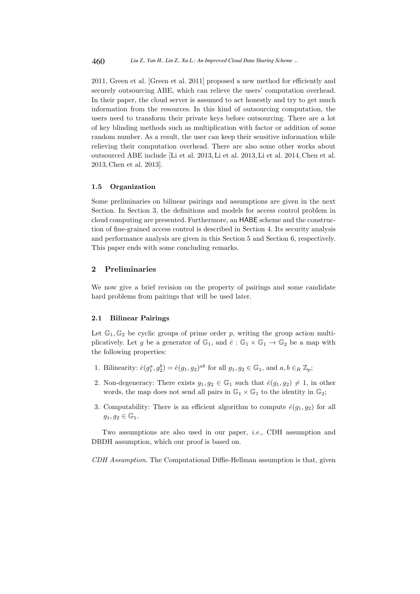2011, Green et al. [Green et al. 2011] proposed a new method for efficiently and securely outsourcing ABE, which can relieve the users' computation overhead. In their paper, the cloud server is assumed to act honestly and try to get much information from the resources. In this kind of outsourcing computation, the users need to transform their private keys before outsourcing. There are a lot of key blinding methods such as multiplication with factor or addition of some random number. As a result, the user can keep their sensitive information while relieving their computation overhead. There are also some other works about outsourced ABE include [Li et al. 2013, Li et al. 2013, Li et al. 2014,Chen et al. 2013, Chen et al. 2013].

### 1.5 Organization

Some preliminaries on bilinear pairings and assumptions are given in the next Section. In Section 3, the definitions and models for access control problem in cloud computing are presented. Furthermore, an HABE scheme and the construction of fine-grained access control is described in Section 4. Its security analysis and performance analysis are given in this Section 5 and Section 6, respectively. This paper ends with some concluding remarks.

# 2 Preliminaries

We now give a brief revision on the property of pairings and some candidate hard problems from pairings that will be used later.

#### 2.1 Bilinear Pairings

Let  $\mathbb{G}_1, \mathbb{G}_2$  be cyclic groups of prime order p, writing the group action multiplicatively. Let g be a generator of  $\mathbb{G}_1$ , and  $\hat{e}: \mathbb{G}_1 \times \mathbb{G}_1 \to \mathbb{G}_2$  be a map with the following properties:

- 1. Bilinearity:  $\hat{e}(g_1^a, g_2^b) = \hat{e}(g_1, g_2)^{ab}$  for all  $g_1, g_2 \in \mathbb{G}_1$ , and  $a, b \in_R \mathbb{Z}_p$ ;
- 2. Non-degeneracy: There exists  $g_1, g_2 \in \mathbb{G}_1$  such that  $\hat{e}(g_1, g_2) \neq 1$ , in other words, the map does not send all pairs in  $\mathbb{G}_1 \times \mathbb{G}_1$  to the identity in  $\mathbb{G}_2$ ;
- 3. Computability: There is an efficient algorithm to compute  $\hat{e}(g_1, g_2)$  for all  $g_1, g_2 \in \mathbb{G}_1$ .

Two assumptions are also used in our paper, i.e., CDH assumption and DBDH assumption, which our proof is based on.

CDH Assumption. The Computational Diffie-Hellman assumption is that, given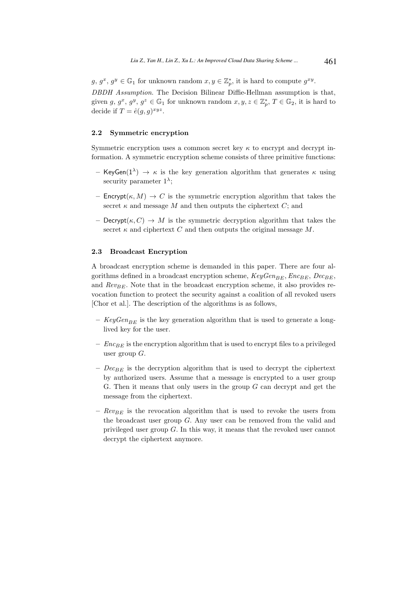$g, g^x, g^y \in \mathbb{G}_1$  for unknown random  $x, y \in \mathbb{Z}_p^*$ , it is hard to compute  $g^{xy}$ . DBDH Assumption. The Decision Bilinear Diffie-Hellman assumption is that, given  $g, g^x, g^y, g^z \in \mathbb{G}_1$  for unknown random  $x, y, z \in \mathbb{Z}_p^*, T \in \mathbb{G}_2$ , it is hard to decide if  $T = \hat{e}(g, g)^{xyz}$ .

# 2.2 Symmetric encryption

Symmetric encryption uses a common secret key  $\kappa$  to encrypt and decrypt information. A symmetric encryption scheme consists of three primitive functions:

- KeyGen(1<sup>λ</sup>)  $\rightarrow$  *κ* is the key generation algorithm that generates *κ* using security parameter  $1^{\lambda}$ ;
- Encrypt $(\kappa, M) \to C$  is the symmetric encryption algorithm that takes the secret  $\kappa$  and message M and then outputs the ciphertext  $C$ ; and
- Decrypt $(\kappa, C) \to M$  is the symmetric decryption algorithm that takes the secret  $\kappa$  and ciphertext C and then outputs the original message M.

#### 2.3 Broadcast Encryption

A broadcast encryption scheme is demanded in this paper. There are four algorithms defined in a broadcast encryption scheme,  $KeyGen_{BE}$ ,  $Enc_{BE}$ ,  $Dec_{BE}$ , and  $Rev_{BE}$ . Note that in the broadcast encryption scheme, it also provides revocation function to protect the security against a coalition of all revoked users [Chor et al.]. The description of the algorithms is as follows,

- $KeyGen_{BE}$  is the key generation algorithm that is used to generate a longlived key for the user.
- $Enc_{BE}$  is the encryption algorithm that is used to encrypt files to a privileged user group  $G$ .
- $Dec_{BE}$  is the decryption algorithm that is used to decrypt the ciphertext by authorized users. Assume that a message is encrypted to a user group G. Then it means that only users in the group  $G$  can decrypt and get the message from the ciphertext.
- $Rev_{BE}$  is the revocation algorithm that is used to revoke the users from the broadcast user group G. Any user can be removed from the valid and privileged user group G. In this way, it means that the revoked user cannot decrypt the ciphertext anymore.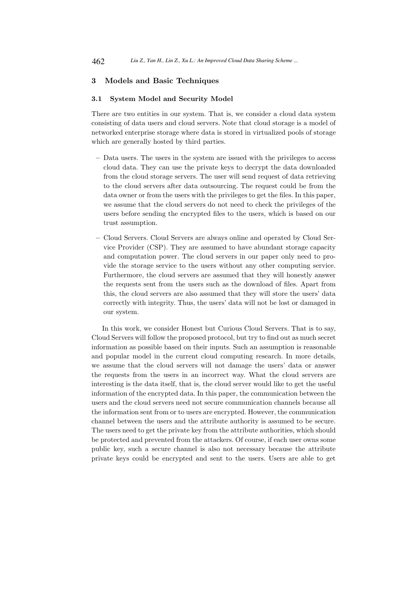# 3 Models and Basic Techniques

#### 3.1 System Model and Security Model

There are two entities in our system. That is, we consider a cloud data system consisting of data users and cloud servers. Note that cloud storage is a model of networked enterprise storage where data is stored in virtualized pools of storage which are generally hosted by third parties.

- Data users. The users in the system are issued with the privileges to access cloud data. They can use the private keys to decrypt the data downloaded from the cloud storage servers. The user will send request of data retrieving to the cloud servers after data outsourcing. The request could be from the data owner or from the users with the privileges to get the files. In this paper, we assume that the cloud servers do not need to check the privileges of the users before sending the encrypted files to the users, which is based on our trust assumption.
- Cloud Servers. Cloud Servers are always online and operated by Cloud Service Provider (CSP). They are assumed to have abundant storage capacity and computation power. The cloud servers in our paper only need to provide the storage service to the users without any other computing service. Furthermore, the cloud servers are assumed that they will honestly answer the requests sent from the users such as the download of files. Apart from this, the cloud servers are also assumed that they will store the users' data correctly with integrity. Thus, the users' data will not be lost or damaged in our system.

In this work, we consider Honest but Curious Cloud Servers. That is to say, Cloud Servers will follow the proposed protocol, but try to find out as much secret information as possible based on their inputs. Such an assumption is reasonable and popular model in the current cloud computing research. In more details, we assume that the cloud servers will not damage the users' data or answer the requests from the users in an incorrect way. What the cloud servers are interesting is the data itself, that is, the cloud server would like to get the useful information of the encrypted data. In this paper, the communication between the users and the cloud servers need not secure communication channels because all the information sent from or to users are encrypted. However, the communication channel between the users and the attribute authority is assumed to be secure. The users need to get the private key from the attribute authorities, which should be protected and prevented from the attackers. Of course, if each user owns some public key, such a secure channel is also not necessary because the attribute private keys could be encrypted and sent to the users. Users are able to get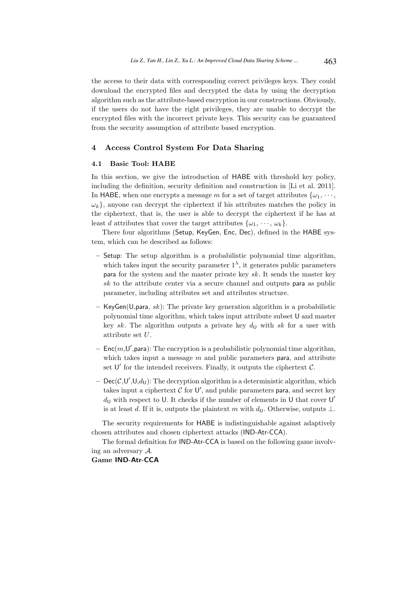the access to their data with corresponding correct privileges keys. They could download the encrypted files and decrypted the data by using the decryption algorithm such as the attribute-based encryption in our constructions. Obviously, if the users do not have the right privileges, they are unable to decrypt the encrypted files with the incorrect private keys. This security can be guaranteed from the security assumption of attribute based encryption.

# 4 Access Control System For Data Sharing

#### 4.1 Basic Tool: HABE

In this section, we give the introduction of HABE with threshold key policy, including the definition, security definition and construction in [Li et al. 2011]. In HABE, when one encrypts a message m for a set of target attributes  $\{\omega_1, \cdots, \omega_n\}$  $\{\omega_k\}$ , anyone can decrypt the ciphertext if his attributes matches the policy in the ciphertext, that is, the user is able to decrypt the ciphertext if he has at least d attributes that cover the target attributes  $\{\omega_1, \dots, \omega_k\}.$ 

There four algorithms (Setup, KeyGen, Enc, Dec), defined in the HABE system, which can be described as follows:

- Setup: The setup algorithm is a probabilistic polynomial time algorithm, which takes input the security parameter  $1^{\lambda}$ , it generates public parameters para for the system and the master private key  $sk$ . It sends the master key  $sk$  to the attribute center via a secure channel and outputs para as public parameter, including attributes set and attributes structure.
- KeyGen(U,para, sk): The private key generation algorithm is a probabilistic polynomial time algorithm, which takes input attribute subset U and master key sk. The algorithm outputs a private key  $d<sub>U</sub>$  with sk for a user with attribute set U.
- $-$  Enc $(m, U',$ para): The encryption is a probabilistic polynomial time algorithm, which takes input a message  $m$  and public parameters para, and attribute set  $\mathsf{U}'$  for the intended receivers. Finally, it outputs the ciphertext  $\mathcal{C}$ .
- $-$  Dec( $C, U', U, d_U$ ): The decryption algorithm is a deterministic algorithm, which takes input a ciphertext  $C$  for  $U'$ , and public parameters para, and secret key  $d_{\mathsf{U}}$  with respect to U. It checks if the number of elements in U that cover U' is at least d. If it is, outputs the plaintext m with  $d_{\mathsf{U}}$ . Otherwise, outputs  $\bot$ .

The security requirements for HABE is indistinguishable against adaptively chosen attributes and chosen ciphertext attacks (IND-Atr-CCA).

The formal definition for IND-Atr-CCA is based on the following game involving an adversary A.

Game IND-Atr-CCA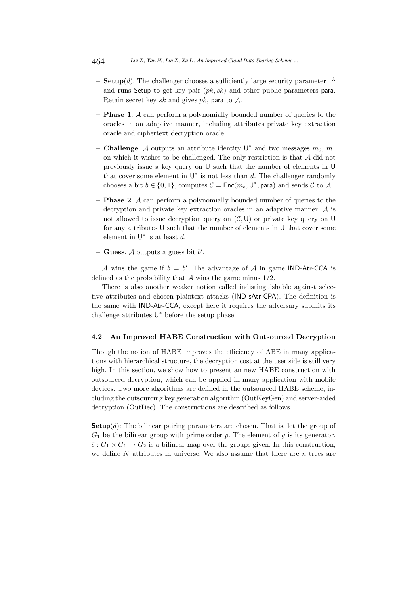- **Setup**(*d*). The challenger chooses a sufficiently large security parameter  $1^{\lambda}$ and runs Setup to get key pair  $(pk, sk)$  and other public parameters para. Retain secret key sk and gives pk, para to  $A$ .
- $-$  **Phase 1.** A can perform a polynomially bounded number of queries to the oracles in an adaptive manner, including attributes private key extraction oracle and ciphertext decryption oracle.
- Challenge. A outputs an attribute identity  $\mathsf{U}^*$  and two messages  $m_0$ ,  $m_1$ on which it wishes to be challenged. The only restriction is that A did not previously issue a key query on U such that the number of elements in U that cover some element in  $\mathsf{U}^*$  is not less than d. The challenger randomly chooses a bit  $b \in \{0, 1\}$ , computes  $C = \mathsf{Enc}(m_b, \mathsf{U}^*, \mathsf{para})$  and sends C to A.
- **Phase 2.** A can perform a polynomially bounded number of queries to the decryption and private key extraction oracles in an adaptive manner. A is not allowed to issue decryption query on  $(C, U)$  or private key query on U for any attributes U such that the number of elements in U that cover some element in  $U^*$  is at least d.
- Guess. A outputs a guess bit  $b'$ .

A wins the game if  $b = b'$ . The advantage of A in game IND-Atr-CCA is defined as the probability that  $A$  wins the game minus  $1/2$ .

There is also another weaker notion called indistinguishable against selective attributes and chosen plaintext attacks (IND-sAtr-CPA). The definition is the same with IND-Atr-CCA, except here it requires the adversary submits its challenge attributes  $U^*$  before the setup phase.

### 4.2 An Improved HABE Construction with Outsourced Decryption

Though the notion of HABE improves the efficiency of ABE in many applications with hierarchical structure, the decryption cost at the user side is still very high. In this section, we show how to present an new HABE construction with outsourced decryption, which can be applied in many application with mobile devices. Two more algorithms are defined in the outsourced HABE scheme, including the outsourcing key generation algorithm (OutKeyGen) and server-aided decryption (OutDec). The constructions are described as follows.

**Setup** $(d)$ : The bilinear pairing parameters are chosen. That is, let the group of  $G_1$  be the bilinear group with prime order p. The element of g is its generator.  $\hat{e}: G_1 \times G_1 \to G_2$  is a bilinear map over the groups given. In this construction, we define N attributes in universe. We also assume that there are n trees are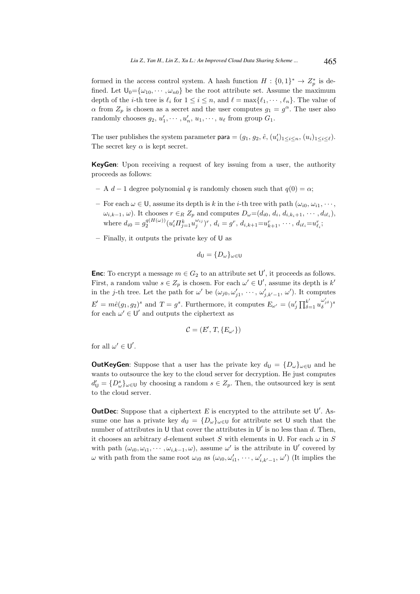formed in the access control system. A hash function  $H: \{0,1\}^* \to Z_p^*$  is defined. Let  $\mathsf{U}_0 = {\omega_{10}, \cdots, \omega_{n0}}$  be the root attribute set. Assume the maximum depth of the *i*-th tree is  $\ell_i$  for  $1 \leq i \leq n$ , and  $\ell = \max{\ell_1, \dots, \ell_n}$ . The value of  $\alpha$  from  $Z_p$  is chosen as a secret and the user computes  $g_1 = g^{\alpha}$ . The user also randomly chooses  $g_2, u'_1, \cdots, u'_n, u_1, \cdots, u_\ell$  from group  $G_1$ .

The user publishes the system parameter **para** =  $(g_1, g_2, \hat{e}, (u'_i)_{1 \leq i \leq n}, (u_i)_{1 \leq i \leq \ell}).$ The secret key  $\alpha$  is kept secret.

KeyGen: Upon receiving a request of key issuing from a user, the authority proceeds as follows:

- A  $d-1$  degree polynomial q is randomly chosen such that  $q(0) = \alpha$ ;
- For each  $\omega \in \mathsf{U}$ , assume its depth is k in the *i*-th tree with path  $(\omega_{i0}, \omega_{i1}, \cdots,$  $\omega_{i,k-1}, \omega$ ). It chooses  $r \in R \ Z_p$  and computes  $D_{\omega} = (d_{i0}, d_i, d_{i,k_i+1}, \cdots, d_{i\ell_i}),$ where  $d_{i0} = g_2^{q(H(\omega))}(u'_i \Pi_{j=1}^k u_j^{\omega_{ij}})^r$ ,  $d_i = g^r$ ,  $d_{i,k+1} = u_{k+1}^r, \dots, d_{i\ell_i} = u_{\ell_i}^r$ ;
- Finally, it outputs the private key of  $\mathsf{U}$  as

$$
d_{\mathsf{U}} = \{D_{\omega}\}_{\omega \in \mathsf{U}}
$$

**Enc**: To encrypt a message  $m \in G_2$  to an attribute set  $\mathsf{U}'$ , it proceeds as follows. First, a random value  $s \in Z_p$  is chosen. For each  $\omega' \in U'$ , assume its depth is  $k'$ in the *j*-th tree. Let the path for  $\omega'$  be  $(\omega_{j0}, \omega'_{j1}, \dots, \omega'_{j,k'-1}, \omega')$ . It computes  $E' = m\hat{e}(g_1, g_2)^s$  and  $T = g^s$ . Furthermore, it computes  $E_{\omega'} = (u'_j \prod_{\delta=1}^{k'} u_{\delta}^{\omega'_{j\delta}})^s$ for each  $\omega' \in U'$  and outputs the ciphertext as

$$
\mathcal{C}=(E',T,\{E_{\omega'}\})
$$

for all  $\omega' \in U'$ .

**OutKeyGen:** Suppose that a user has the private key  $d_U = \{D_\omega\}_{\omega \in U}$  and he wants to outsource the key to the cloud server for decryption. He just computes  $d'_{\mathsf{U}} = \{D^s_{\omega}\}_{{\omega}\in{\mathsf{U}}}$  by choosing a random  $s \in Z_p$ . Then, the outsourced key is sent to the cloud server.

**OutDec:** Suppose that a ciphertext  $E$  is encrypted to the attribute set  $U'$ . Assume one has a private key  $d_{\mathsf{U}} = \{D_{\omega}\}_{{\omega}\in{\mathsf{U}}}$  for attribute set U such that the number of attributes in U that cover the attributes in  $\mathsf{U}'$  is no less than d. Then, it chooses an arbitrary d-element subset S with elements in U. For each  $\omega$  in S with path  $(\omega_{i0}, \omega_{i1}, \cdots, \omega_{i,k-1}, \omega)$ , assume  $\omega'$  is the attribute in U' covered by ω with path from the same root  $ω_{i0}$  as  $(ω_{i0}, ω'_{i1}, \dots, ω'_{i,k'-1}, ω')$  (It implies the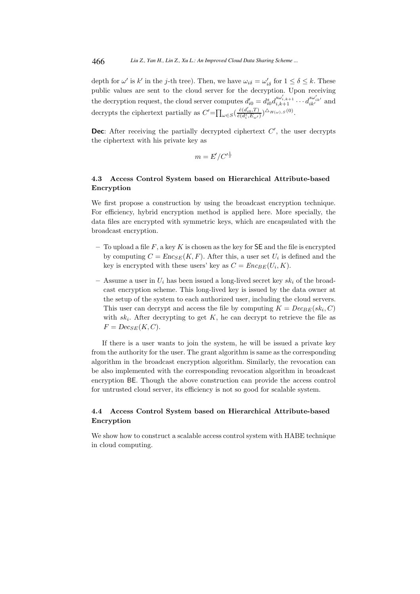depth for  $\omega'$  is  $k'$  in the j-th tree). Then, we have  $\omega_{i\delta} = \omega'_{i\delta}$  for  $1 \le \delta \le k$ . These public values are sent to the cloud server for the decryption. Upon receiving the decryption request, the cloud server computes  $d'_{i0} = d_{i0}^s d_{i,k+1}^{s\omega'_{i,k+1}} \cdots d_{ik'}^{s\omega'_{ik'}}$  and decrypts the ciphertext partially as  $C' = \prod_{\omega \in S} \left( \frac{\hat{e}(d'_{i0}, T)}{\hat{e}(d^s_{i}, E_{\omega'})} \right)$  $\frac{\hat{e}(d'_{i0},T)}{\hat{e}(d^s_i,E_{\omega'})}\big)\triangleq_{H(\omega),S}(0).$ 

**Dec**: After receiving the partially decrypted ciphertext  $C'$ , the user decrypts the ciphertext with his private key as

$$
m = E'/C'^{\frac{1}{s}}
$$

# 4.3 Access Control System based on Hierarchical Attribute-based Encryption

We first propose a construction by using the broadcast encryption technique. For efficiency, hybrid encryption method is applied here. More specially, the data files are encrypted with symmetric keys, which are encapsulated with the broadcast encryption.

- To upload a file F, a key K is chosen as the key for  $\mathsf{SE}\$  and the file is encrypted by computing  $C = Enc_{SE}(K, F)$ . After this, a user set  $U_i$  is defined and the key is encrypted with these users' key as  $C = Enc_{BE}(U_i, K)$ .
- Assume a user in  $U_i$  has been issued a long-lived secret key  $sk_i$  of the broadcast encryption scheme. This long-lived key is issued by the data owner at the setup of the system to each authorized user, including the cloud servers. This user can decrypt and access the file by computing  $K = Dec_{BE}(sk_i, C)$ with  $sk_i$ . After decrypting to get K, he can decrypt to retrieve the file as  $F = Dec_{SE}(K, C).$

If there is a user wants to join the system, he will be issued a private key from the authority for the user. The grant algorithm is same as the corresponding algorithm in the broadcast encryption algorithm. Similarly, the revocation can be also implemented with the corresponding revocation algorithm in broadcast encryption BE. Though the above construction can provide the access control for untrusted cloud server, its efficiency is not so good for scalable system.

# 4.4 Access Control System based on Hierarchical Attribute-based Encryption

We show how to construct a scalable access control system with HABE technique in cloud computing.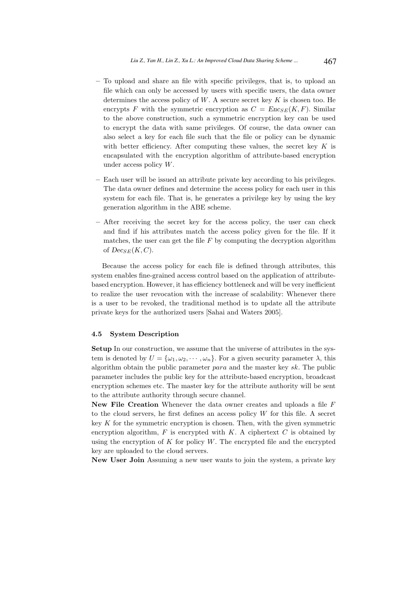- To upload and share an file with specific privileges, that is, to upload an file which can only be accessed by users with specific users, the data owner determines the access policy of  $W$ . A secure secret key  $K$  is chosen too. He encrypts F with the symmetric encryption as  $C = Enc_{SE}(K, F)$ . Similar to the above construction, such a symmetric encryption key can be used to encrypt the data with same privileges. Of course, the data owner can also select a key for each file such that the file or policy can be dynamic with better efficiency. After computing these values, the secret key  $K$  is encapsulated with the encryption algorithm of attribute-based encryption under access policy W.
- Each user will be issued an attribute private key according to his privileges. The data owner defines and determine the access policy for each user in this system for each file. That is, he generates a privilege key by using the key generation algorithm in the ABE scheme.
- After receiving the secret key for the access policy, the user can check and find if his attributes match the access policy given for the file. If it matches, the user can get the file  $F$  by computing the decryption algorithm of  $Dec_{SE}(K, C)$ .

Because the access policy for each file is defined through attributes, this system enables fine-grained access control based on the application of attributebased encryption. However, it has efficiency bottleneck and will be very inefficient to realize the user revocation with the increase of scalability: Whenever there is a user to be revoked, the traditional method is to update all the attribute private keys for the authorized users [Sahai and Waters 2005].

#### 4.5 System Description

Setup In our construction, we assume that the universe of attributes in the system is denoted by  $U = {\omega_1, \omega_2, \cdots, \omega_n}$ . For a given security parameter  $\lambda$ , this algorithm obtain the public parameter para and the master key sk. The public parameter includes the public key for the attribute-based encryption, broadcast encryption schemes etc. The master key for the attribute authority will be sent to the attribute authority through secure channel.

New File Creation Whenever the data owner creates and uploads a file  $F$ to the cloud servers, he first defines an access policy  $W$  for this file. A secret key  $K$  for the symmetric encryption is chosen. Then, with the given symmetric encryption algorithm,  $F$  is encrypted with  $K$ . A ciphertext  $C$  is obtained by using the encryption of  $K$  for policy  $W$ . The encrypted file and the encrypted key are uploaded to the cloud servers.

New User Join Assuming a new user wants to join the system, a private key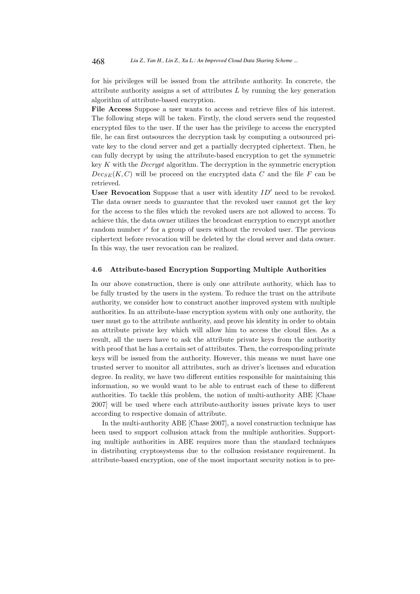for his privileges will be issued from the attribute authority. In concrete, the attribute authority assigns a set of attributes  $L$  by running the key generation algorithm of attribute-based encryption.

File Access Suppose a user wants to access and retrieve files of his interest. The following steps will be taken. Firstly, the cloud servers send the requested encrypted files to the user. If the user has the privilege to access the encrypted file, he can first outsources the decryption task by computing a outsourced private key to the cloud server and get a partially decrypted ciphertext. Then, he can fully decrypt by using the attribute-based encryption to get the symmetric key  $K$  with the *Decrypt* algorithm. The decryption in the symmetric encryption  $Dec_{SE}(K, C)$  will be proceed on the encrypted data C and the file F can be retrieved.

User Revocation Suppose that a user with identity  $ID'$  need to be revoked. The data owner needs to guarantee that the revoked user cannot get the key for the access to the files which the revoked users are not allowed to access. To achieve this, the data owner utilizes the broadcast encryption to encrypt another random number  $r'$  for a group of users without the revoked user. The previous ciphertext before revocation will be deleted by the cloud server and data owner. In this way, the user revocation can be realized.

### 4.6 Attribute-based Encryption Supporting Multiple Authorities

In our above construction, there is only one attribute authority, which has to be fully trusted by the users in the system. To reduce the trust on the attribute authority, we consider how to construct another improved system with multiple authorities. In an attribute-base encryption system with only one authority, the user must go to the attribute authority, and prove his identity in order to obtain an attribute private key which will allow him to access the cloud files. As a result, all the users have to ask the attribute private keys from the authority with proof that he has a certain set of attributes. Then, the corresponding private keys will be issued from the authority. However, this means we must have one trusted server to monitor all attributes, such as driver's licenses and education degree. In reality, we have two different entities responsible for maintaining this information, so we would want to be able to entrust each of these to different authorities. To tackle this problem, the notion of multi-authority ABE [Chase 2007] will be used where each attribute-authority issues private keys to user according to respective domain of attribute.

In the multi-authority ABE [Chase 2007], a novel construction technique has been used to support collusion attack from the multiple authorities. Supporting multiple authorities in ABE requires more than the standard techniques in distributing cryptosystems due to the collusion resistance requirement. In attribute-based encryption, one of the most important security notion is to pre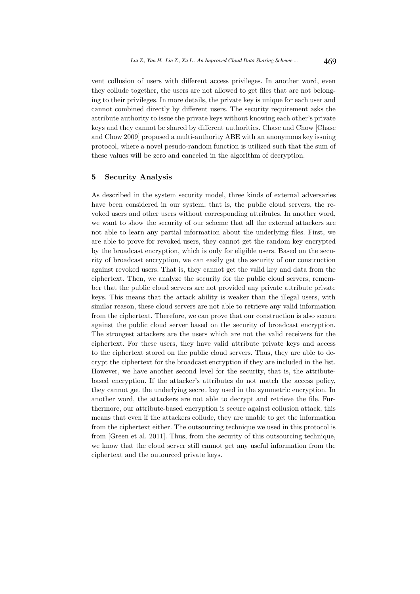vent collusion of users with different access privileges. In another word, even they collude together, the users are not allowed to get files that are not belonging to their privileges. In more details, the private key is unique for each user and cannot combined directly by different users. The security requirement asks the attribute authority to issue the private keys without knowing each other's private keys and they cannot be shared by different authorities. Chase and Chow [Chase and Chow 2009] proposed a multi-authority ABE with an anonymous key issuing protocol, where a novel pesudo-random function is utilized such that the sum of these values will be zero and canceled in the algorithm of decryption.

# 5 Security Analysis

As described in the system security model, three kinds of external adversaries have been considered in our system, that is, the public cloud servers, the revoked users and other users without corresponding attributes. In another word, we want to show the security of our scheme that all the external attackers are not able to learn any partial information about the underlying files. First, we are able to prove for revoked users, they cannot get the random key encrypted by the broadcast encryption, which is only for eligible users. Based on the security of broadcast encryption, we can easily get the security of our construction against revoked users. That is, they cannot get the valid key and data from the ciphertext. Then, we analyze the security for the public cloud servers, remember that the public cloud servers are not provided any private attribute private keys. This means that the attack ability is weaker than the illegal users, with similar reason, these cloud servers are not able to retrieve any valid information from the ciphertext. Therefore, we can prove that our construction is also secure against the public cloud server based on the security of broadcast encryption. The strongest attackers are the users which are not the valid receivers for the ciphertext. For these users, they have valid attribute private keys and access to the ciphertext stored on the public cloud servers. Thus, they are able to decrypt the ciphertext for the broadcast encryption if they are included in the list. However, we have another second level for the security, that is, the attributebased encryption. If the attacker's attributes do not match the access policy, they cannot get the underlying secret key used in the symmetric encryption. In another word, the attackers are not able to decrypt and retrieve the file. Furthermore, our attribute-based encryption is secure against collusion attack, this means that even if the attackers collude, they are unable to get the information from the ciphertext either. The outsourcing technique we used in this protocol is from [Green et al. 2011]. Thus, from the security of this outsourcing technique, we know that the cloud server still cannot get any useful information from the ciphertext and the outourced private keys.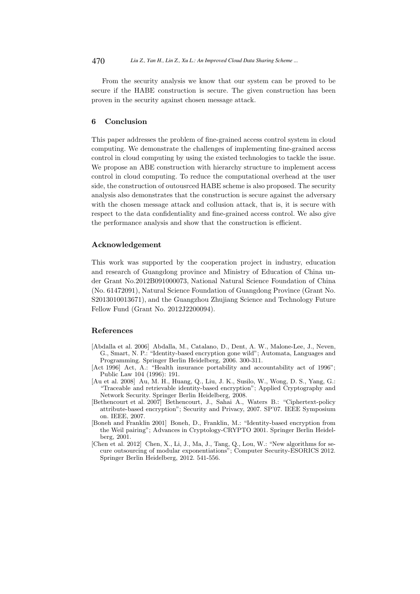From the security analysis we know that our system can be proved to be secure if the HABE construction is secure. The given construction has been proven in the security against chosen message attack.

# 6 Conclusion

This paper addresses the problem of fine-grained access control system in cloud computing. We demonstrate the challenges of implementing fine-grained access control in cloud computing by using the existed technologies to tackle the issue. We propose an ABE construction with hierarchy structure to implement access control in cloud computing. To reduce the computational overhead at the user side, the construction of outousrced HABE scheme is also proposed. The security analysis also demonstrates that the construction is secure against the adversary with the chosen message attack and collusion attack, that is, it is secure with respect to the data confidentiality and fine-grained access control. We also give the performance analysis and show that the construction is efficient.

### Acknowledgement

This work was supported by the cooperation project in industry, education and research of Guangdong province and Ministry of Education of China under Grant No.2012B091000073, National Natural Science Foundation of China (No. 61472091), Natural Science Foundation of Guangdong Province (Grant No. S2013010013671), and the Guangzhou Zhujiang Science and Technology Future Fellow Fund (Grant No. 2012J2200094).

# References

- [Abdalla et al. 2006] Abdalla, M., Catalano, D., Dent, A. W., Malone-Lee, J., Neven, G., Smart, N. P.: "Identity-based encryption gone wild"; Automata, Languages and Programming. Springer Berlin Heidelberg, 2006. 300-311.
- [Act 1996] Act, A.: "Health insurance portability and accountability act of 1996"; Public Law 104 (1996): 191.
- [Au et al. 2008] Au, M. H., Huang, Q., Liu, J. K., Susilo, W., Wong, D. S., Yang, G.: "Traceable and retrievable identity-based encryption"; Applied Cryptography and Network Security. Springer Berlin Heidelberg, 2008.
- [Bethencourt et al. 2007] Bethencourt, J., Sahai A., Waters B.: "Ciphertext-policy attribute-based encryption"; Security and Privacy, 2007. SP'07. IEEE Symposium on. IEEE, 2007.
- [Boneh and Franklin 2001] Boneh, D., Franklin, M.: "Identity-based encryption from the Weil pairing"; Advances in Cryptology-CRYPTO 2001. Springer Berlin Heidelberg, 2001.
- [Chen et al. 2012] Chen, X., Li, J., Ma, J., Tang, Q., Lou, W.: "New algorithms for secure outsourcing of modular exponentiations"; Computer Security-ESORICS 2012. Springer Berlin Heidelberg, 2012. 541-556.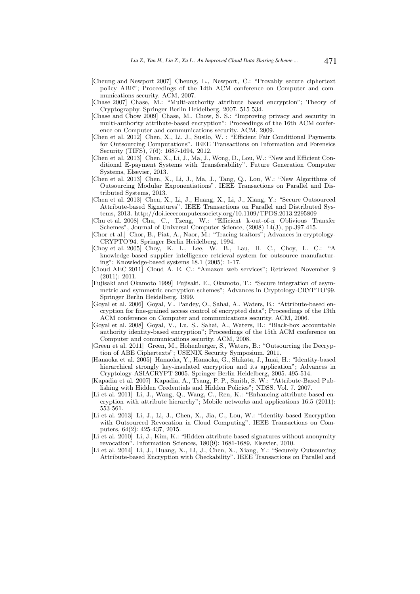- [Cheung and Newport 2007] Cheung, L., Newport, C.: "Provably secure ciphertext policy ABE"; Proceedings of the 14th ACM conference on Computer and communications security. ACM, 2007.
- [Chase 2007] Chase, M.: "Multi-authority attribute based encryption"; Theory of Cryptography. Springer Berlin Heidelberg, 2007. 515-534.
- [Chase and Chow 2009] Chase, M., Chow, S. S.: "Improving privacy and security in multi-authority attribute-based encryption"; Proceedings of the 16th ACM conference on Computer and communications security. ACM, 2009.
- [Chen et al. 2012] Chen, X., Li, J., Susilo, W. : "Efficient Fair Conditional Payments for Outsourcing Computations". IEEE Transactions on Information and Forensics Security (TIFS), 7(6): 1687-1694, 2012.
- [Chen et al. 2013] Chen, X., Li, J., Ma, J., Wong, D., Lou, W.: "New and Efficient Conditional E-payment Systems with Transferability". Future Generation Computer Systems, Elsevier, 2013.
- [Chen et al. 2013] Chen, X., Li, J., Ma, J., Tang, Q., Lou, W.: "New Algorithms of Outsourcing Modular Exponentiations". IEEE Transactions on Parallel and Distributed Systems, 2013.
- [Chen et al. 2013] Chen, X., Li, J., Huang, X., Li, J., Xiang, Y.: "Secure Outsourced Attribute-based Signatures". IEEE Transactions on Parallel and Distributed Systems, 2013. http://doi.ieeecomputersociety.org/10.1109/TPDS.2013.2295809
- [Chu et al. 2008] Chu, C., Tzeng, W.: "Efficient k-out-of-n Oblivious Transfer Schemes", Journal of Universal Computer Science, (2008) 14(3), pp.397-415.
- [Chor et al.] Chor, B., Fiat, A., Naor, M.: "Tracing traitors"; Advances in cryptology-CRYPTO'94. Springer Berlin Heidelberg, 1994.
- [Choy et al. 2005] Choy, K. L., Lee, W. B., Lau, H. C., Choy, L. C.: "A knowledge-based supplier intelligence retrieval system for outsource manufacturing"; Knowledge-based systems 18.1 (2005): 1-17.
- [Cloud AEC 2011] Cloud A. E. C.: "Amazon web services"; Retrieved November 9 (2011): 2011.
- [Fujisaki and Okamoto 1999] Fujisaki, E., Okamoto, T.: "Secure integration of asymmetric and symmetric encryption schemes"; Advances in Cryptology-CRYPTO'99. Springer Berlin Heidelberg, 1999.
- [Goyal et al. 2006] Goyal, V., Pandey, O., Sahai, A., Waters, B.: "Attribute-based encryption for fine-grained access control of encrypted data"; Proceedings of the 13th ACM conference on Computer and communications security. ACM, 2006.
- [Goyal et al. 2008] Goyal, V., Lu, S., Sahai, A., Waters, B.: "Black-box accountable authority identity-based encryption"; Proceedings of the 15th ACM conference on Computer and communications security. ACM, 2008.
- [Green et al. 2011] Green, M., Hohenberger, S., Waters, B.: "Outsourcing the Decryption of ABE Ciphertexts"; USENIX Security Symposium. 2011.
- [Hanaoka et al. 2005] Hanaoka, Y., Hanaoka, G., Shikata, J., Imai, H.: "Identity-based hierarchical strongly key-insulated encryption and its application"; Advances in Cryptology-ASIACRYPT 2005. Springer Berlin Heidelberg, 2005. 495-514.
- [Kapadia et al. 2007] Kapadia, A., Tsang, P. P., Smith, S. W.: "Attribute-Based Publishing with Hidden Credentials and Hidden Policies"; NDSS. Vol. 7. 2007.
- [Li et al. 2011] Li, J., Wang, Q., Wang, C., Ren, K.: "Enhancing attribute-based encryption with attribute hierarchy"; Mobile networks and applications 16.5 (2011): 553-561.
- [Li et al. 2013] Li, J., Li, J., Chen, X., Jia, C., Lou, W.: "Identity-based Encryption with Outsourced Revocation in Cloud Computing". IEEE Transactions on Computers, 64(2): 425-437, 2015.
- [Li et al. 2010] Li, J., Kim, K.: "Hidden attribute-based signatures without anonymity revocation". Information Sciences, 180(9): 1681-1689, Elsevier, 2010.
- [Li et al. 2014] Li, J., Huang, X., Li, J., Chen, X., Xiang, Y.: "Securely Outsourcing Attribute-based Encryption with Checkability". IEEE Transactions on Parallel and